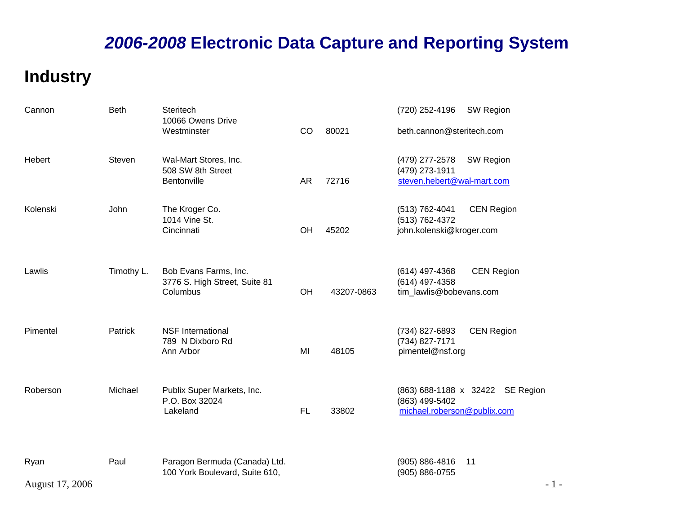### **Industry**

| Cannon          | <b>Beth</b> | <b>Steritech</b><br>10066 Owens Drive                    |           |            | SW Region<br>(720) 252-4196                                                       |
|-----------------|-------------|----------------------------------------------------------|-----------|------------|-----------------------------------------------------------------------------------|
|                 |             | Westminster                                              | CO        | 80021      | beth.cannon@steritech.com                                                         |
| Hebert          | Steven      | Wal-Mart Stores, Inc.<br>508 SW 8th Street               |           |            | (479) 277-2578<br>SW Region<br>(479) 273-1911                                     |
|                 |             | Bentonville                                              | <b>AR</b> | 72716      | steven.hebert@wal-mart.com                                                        |
| Kolenski        | <b>John</b> | The Kroger Co.<br>1014 Vine St.                          |           |            | (513) 762-4041<br><b>CEN Region</b><br>(513) 762-4372                             |
|                 |             | Cincinnati                                               | OH        | 45202      | john.kolenski@kroger.com                                                          |
| Lawlis          | Timothy L.  | Bob Evans Farms, Inc.                                    |           |            | (614) 497-4368<br><b>CEN Region</b>                                               |
|                 |             | 3776 S. High Street, Suite 81<br>Columbus                | OH        | 43207-0863 | (614) 497-4358<br>tim_lawlis@bobevans.com                                         |
| Pimentel        | Patrick     | <b>NSF International</b>                                 |           |            | (734) 827-6893<br><b>CEN Region</b>                                               |
|                 |             | 789 N Dixboro Rd<br>Ann Arbor                            | MI        | 48105      | (734) 827-7171<br>pimentel@nsf.org                                                |
|                 |             |                                                          |           |            |                                                                                   |
| Roberson        | Michael     | Publix Super Markets, Inc.<br>P.O. Box 32024<br>Lakeland | FL        | 33802      | (863) 688-1188 x 32422 SE Region<br>(863) 499-5402<br>michael.roberson@publix.com |
|                 |             |                                                          |           |            |                                                                                   |
| Ryan            | Paul        | Paragon Bermuda (Canada) Ltd.                            |           |            | $(905) 886 - 4816$<br>11                                                          |
| August 17, 2006 |             | 100 York Boulevard, Suite 610,                           |           |            | (905) 886-0755<br>$-1-$                                                           |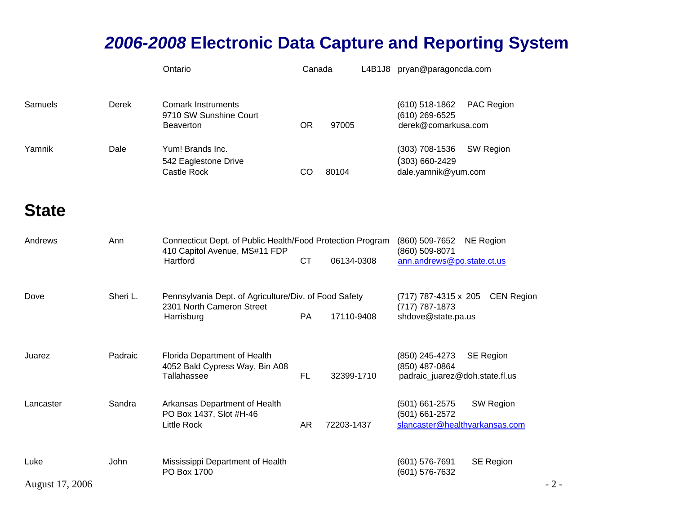|                         |          | Ontario                                                                                                 | Canada    |            | L4B1J8 pryan@paragoncda.com                                        |                   |       |
|-------------------------|----------|---------------------------------------------------------------------------------------------------------|-----------|------------|--------------------------------------------------------------------|-------------------|-------|
| Samuels                 | Derek    | <b>Comark Instruments</b><br>9710 SW Sunshine Court<br><b>Beaverton</b>                                 | <b>OR</b> | 97005      | $(610)$ 518-1862<br>(610) 269-6525<br>derek@comarkusa.com          | PAC Region        |       |
| Yamnik                  | Dale     | Yum! Brands Inc.<br>542 Eaglestone Drive<br>Castle Rock                                                 | CO        | 80104      | (303) 708-1536<br>$(303) 660 - 2429$<br>dale.yamnik@yum.com        | SW Region         |       |
| <b>State</b>            |          |                                                                                                         |           |            |                                                                    |                   |       |
| Andrews                 | Ann      | Connecticut Dept. of Public Health/Food Protection Program<br>410 Capitol Avenue, MS#11 FDP<br>Hartford | <b>CT</b> | 06134-0308 | (860) 509-7652<br>(860) 509-8071<br>ann.andrews@po.state.ct.us     | <b>NE Region</b>  |       |
| Dove                    | Sheri L. | Pennsylvania Dept. of Agriculture/Div. of Food Safety<br>2301 North Cameron Street<br>Harrisburg        | PA        | 17110-9408 | (717) 787-4315 x 205<br>(717) 787-1873<br>shdove@state.pa.us       | <b>CEN Region</b> |       |
| Juarez                  | Padraic  | Florida Department of Health<br>4052 Bald Cypress Way, Bin A08<br>Tallahassee                           | FL        | 32399-1710 | (850) 245-4273<br>(850) 487-0864<br>padraic_juarez@doh.state.fl.us | <b>SE Region</b>  |       |
| Lancaster               | Sandra   | Arkansas Department of Health<br>PO Box 1437, Slot #H-46<br><b>Little Rock</b>                          | <b>AR</b> | 72203-1437 | (501) 661-2575<br>(501) 661-2572<br>slancaster@healthyarkansas.com | <b>SW Region</b>  |       |
| Luke<br>August 17, 2006 | John     | Mississippi Department of Health<br>PO Box 1700                                                         |           |            | (601) 576-7691<br>(601) 576-7632                                   | <b>SE Region</b>  | $-2-$ |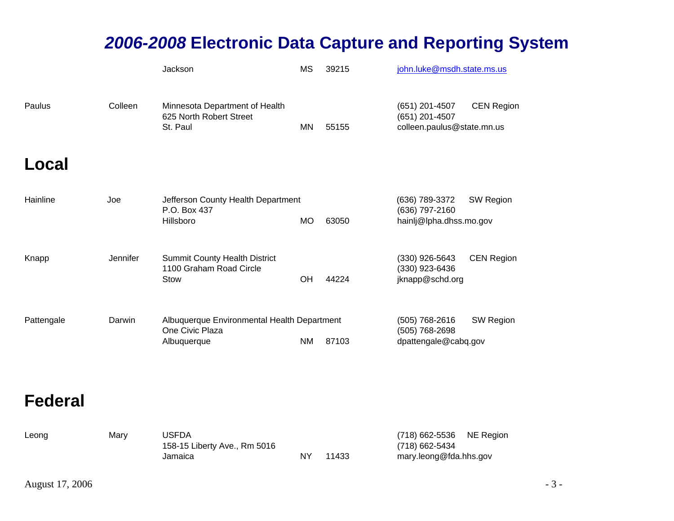|            |                 | Jackson                                                                       | MS        | 39215 | john.luke@msdh.state.ms.us                                     |                   |
|------------|-----------------|-------------------------------------------------------------------------------|-----------|-------|----------------------------------------------------------------|-------------------|
| Paulus     | Colleen         | Minnesota Department of Health<br>625 North Robert Street<br>St. Paul         | <b>MN</b> | 55155 | (651) 201-4507<br>(651) 201-4507<br>colleen.paulus@state.mn.us | <b>CEN Region</b> |
| Local      |                 |                                                                               |           |       |                                                                |                   |
| Hainline   | Joe             | Jefferson County Health Department<br>P.O. Box 437<br>Hillsboro               | <b>MO</b> | 63050 | (636) 789-3372<br>(636) 797-2160<br>hainlj@lpha.dhss.mo.gov    | <b>SW Region</b>  |
| Knapp      | <b>Jennifer</b> | <b>Summit County Health District</b><br>1100 Graham Road Circle<br>Stow       | OH        | 44224 | (330) 926-5643<br>(330) 923-6436<br>jknapp@schd.org            | <b>CEN Region</b> |
| Pattengale | Darwin          | Albuquerque Environmental Health Department<br>One Civic Plaza<br>Albuquerque | <b>NM</b> | 87103 | (505) 768-2616<br>(505) 768-2698<br>dpattengale@cabq.gov       | SW Region         |

#### **Federal**

| Leong | Marv | <b>USFDA</b>                 |    |       | (718) 662-5536 NE Region |  |
|-------|------|------------------------------|----|-------|--------------------------|--|
|       |      | 158-15 Liberty Ave., Rm 5016 |    |       | (718) 662-5434           |  |
|       |      | Jamaica                      | NΥ | 11433 | mary.leong@fda.hhs.gov   |  |